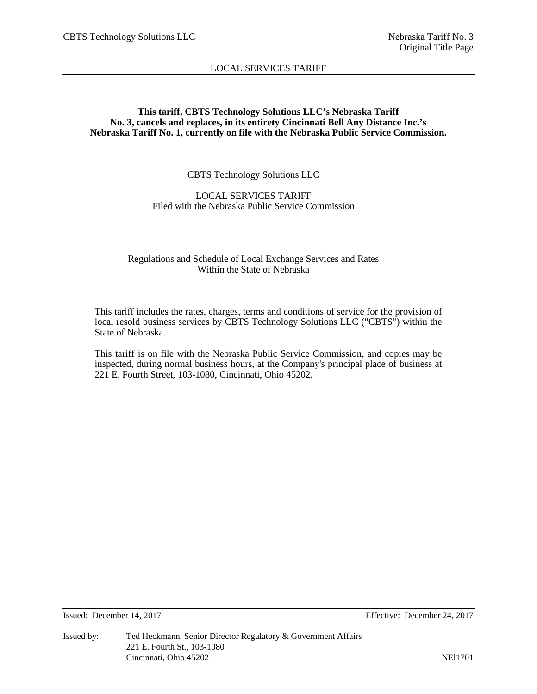# **This tariff, CBTS Technology Solutions LLC's Nebraska Tariff No. 3, cancels and replaces, in its entirety Cincinnati Bell Any Distance Inc.'s Nebraska Tariff No. 1, currently on file with the Nebraska Public Service Commission.**

# CBTS Technology Solutions LLC

# LOCAL SERVICES TARIFF Filed with the Nebraska Public Service Commission

# Regulations and Schedule of Local Exchange Services and Rates Within the State of Nebraska

This tariff includes the rates, charges, terms and conditions of service for the provision of local resold business services by CBTS Technology Solutions LLC ("CBTS") within the State of Nebraska.

This tariff is on file with the Nebraska Public Service Commission, and copies may be inspected, during normal business hours, at the Company's principal place of business at 221 E. Fourth Street, 103-1080, Cincinnati, Ohio 45202.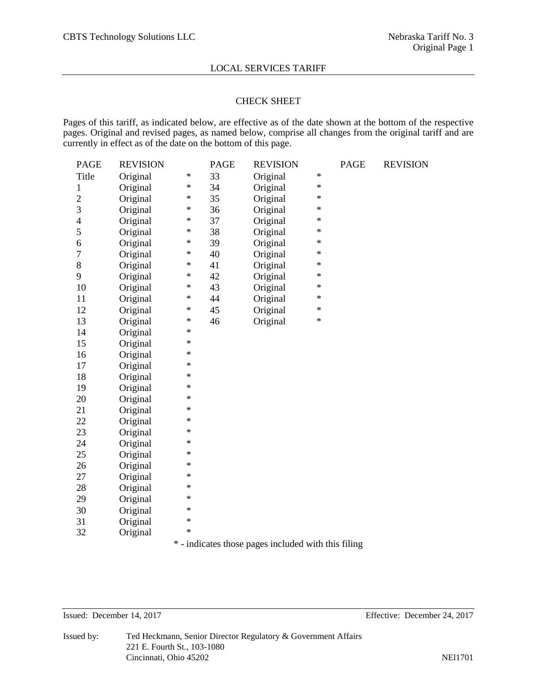# CHECK SHEET

Pages of this tariff, as indicated below, are effective as of the date shown at the bottom of the respective pages. Original and revised pages, as named below, comprise all changes from the original tariff and are currently in effect as of the date on the bottom of this page.

| <b>PAGE</b>              | <b>REVISION</b> |         | <b>PAGE</b>                | <b>REVISION</b>                    |        | <b>PAGE</b> | <b>REVISION</b> |
|--------------------------|-----------------|---------|----------------------------|------------------------------------|--------|-------------|-----------------|
| Title                    | Original        | $\ast$  | 33                         | Original                           | $\ast$ |             |                 |
| $\mathbf{1}$             | Original        | $\ast$  | 34                         | Original                           | $\ast$ |             |                 |
| $\overline{c}$           | Original        | $\ast$  | 35                         | Original                           | $\ast$ |             |                 |
| 3                        | Original        | ∗       | 36                         | Original                           | $\ast$ |             |                 |
| $\overline{\mathcal{A}}$ | Original        | ∗       | 37                         | Original                           | $\ast$ |             |                 |
| 5                        | Original        | ∗       | 38                         | Original                           | $\ast$ |             |                 |
| 6                        | Original        | ∗       | 39                         | Original                           | $\ast$ |             |                 |
| $\overline{7}$           | Original        | ∗       | 40                         | Original                           | $\ast$ |             |                 |
| 8                        | Original        | ∗       | 41                         | Original                           | $\ast$ |             |                 |
| 9                        | Original        | $\star$ | 42                         | Original                           | $\ast$ |             |                 |
| 10                       | Original        | ∗       | 43                         | Original                           | $\ast$ |             |                 |
| 11                       | Original        | $\ast$  | 44                         | Original                           | $\ast$ |             |                 |
| 12                       | Original        | $\ast$  | 45                         | Original                           | $\ast$ |             |                 |
| 13                       | Original        | $\ast$  | 46                         | Original                           | $\ast$ |             |                 |
| 14                       | Original        | $\ast$  |                            |                                    |        |             |                 |
| 15                       | Original        | $\ast$  |                            |                                    |        |             |                 |
| 16                       | Original        | $\ast$  |                            |                                    |        |             |                 |
| 17                       | Original        | $\ast$  |                            |                                    |        |             |                 |
| 18                       | Original        | $\ast$  |                            |                                    |        |             |                 |
| 19                       | Original        | $\ast$  |                            |                                    |        |             |                 |
| 20                       | Original        | $\ast$  |                            |                                    |        |             |                 |
| 21                       | Original        | $\ast$  |                            |                                    |        |             |                 |
| 22                       | Original        | $\ast$  |                            |                                    |        |             |                 |
| 23                       | Original        | $\ast$  |                            |                                    |        |             |                 |
| 24                       | Original        | $\ast$  |                            |                                    |        |             |                 |
| 25                       | Original        | $\ast$  |                            |                                    |        |             |                 |
| 26                       | Original        | $\ast$  |                            |                                    |        |             |                 |
| 27                       | Original        | $\ast$  |                            |                                    |        |             |                 |
| 28                       | Original        | $\ast$  |                            |                                    |        |             |                 |
| 29                       | Original        | $\ast$  |                            |                                    |        |             |                 |
| 30                       | Original        | $\ast$  |                            |                                    |        |             |                 |
| 31                       | Original        | $\ast$  |                            |                                    |        |             |                 |
| 32                       | Original        | $\ast$  |                            |                                    |        |             |                 |
|                          |                 | sk.     | المواصطلة والمقوم والقامون | the also shall contain above 2010s |        |             |                 |

\* - indicates those pages included with this filing

Issued: December 14, 2017 Effective: December 24, 2017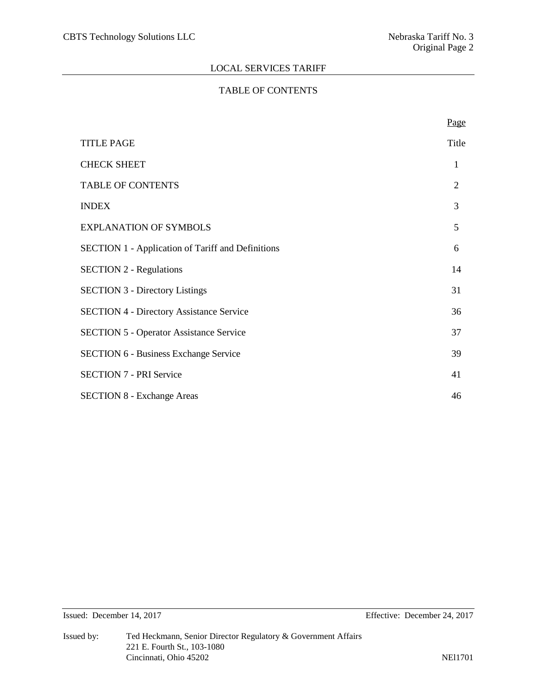# TABLE OF CONTENTS

|                                                          | Page           |
|----------------------------------------------------------|----------------|
| <b>TITLE PAGE</b>                                        | Title          |
| <b>CHECK SHEET</b>                                       | 1              |
| <b>TABLE OF CONTENTS</b>                                 | $\overline{2}$ |
| <b>INDEX</b>                                             | 3              |
| <b>EXPLANATION OF SYMBOLS</b>                            | 5              |
| <b>SECTION 1 - Application of Tariff and Definitions</b> | 6              |
| <b>SECTION 2 - Regulations</b>                           | 14             |
| <b>SECTION 3 - Directory Listings</b>                    | 31             |
| <b>SECTION 4 - Directory Assistance Service</b>          | 36             |
| <b>SECTION 5 - Operator Assistance Service</b>           | 37             |
| <b>SECTION 6 - Business Exchange Service</b>             | 39             |
| <b>SECTION 7 - PRI Service</b>                           | 41             |
| <b>SECTION 8 - Exchange Areas</b>                        | 46             |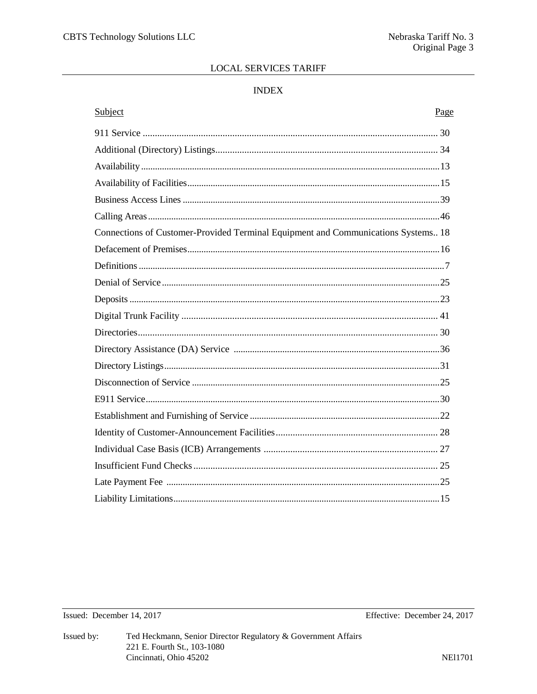# **INDEX**

# Subject Page Connections of Customer-Provided Terminal Equipment and Communications Systems.. 18

# Issued: December 14, 2017

Effective: December 24, 2017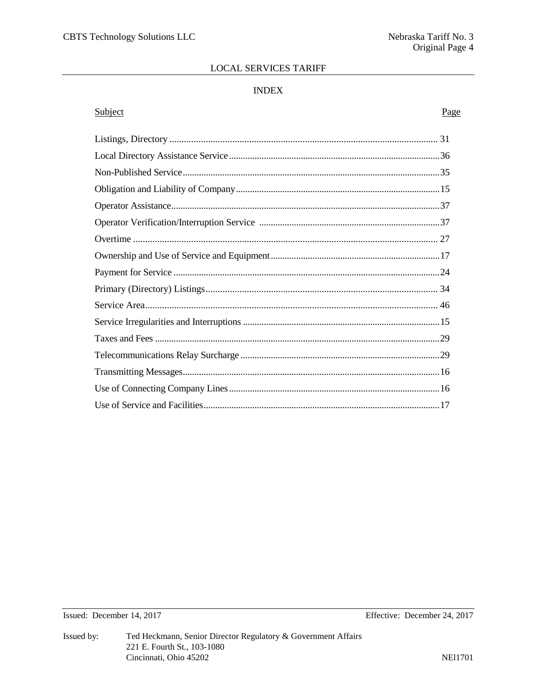# **INDEX**

# Subject

#### Page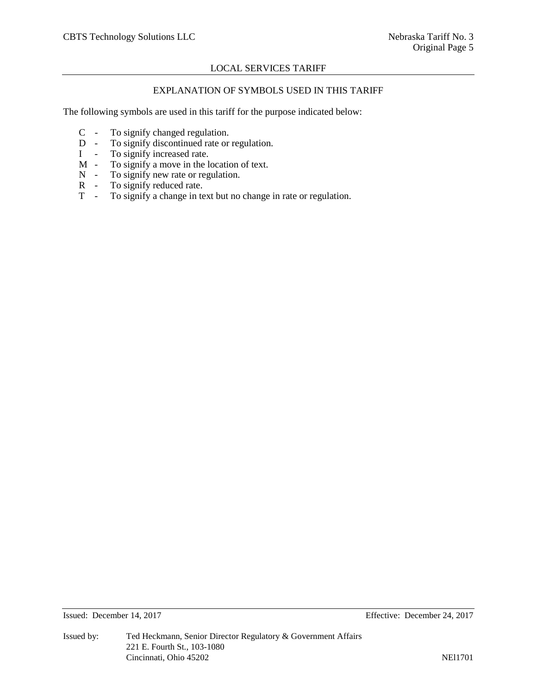# EXPLANATION OF SYMBOLS USED IN THIS TARIFF

The following symbols are used in this tariff for the purpose indicated below:

- C To signify changed regulation.<br>D To signify discontinued rate or
- D To signify discontinued rate or regulation.<br>I To signify increased rate.
- I To signify increased rate.<br>M To signify a move in the l
- $M To signify a move in the location of text.$ <br> $N To signify new rate or regulation.$
- N To signify new rate or regulation.<br>R To signify reduced rate.
- R To signify reduced rate.<br>T To signify a change in te
- To signify a change in text but no change in rate or regulation.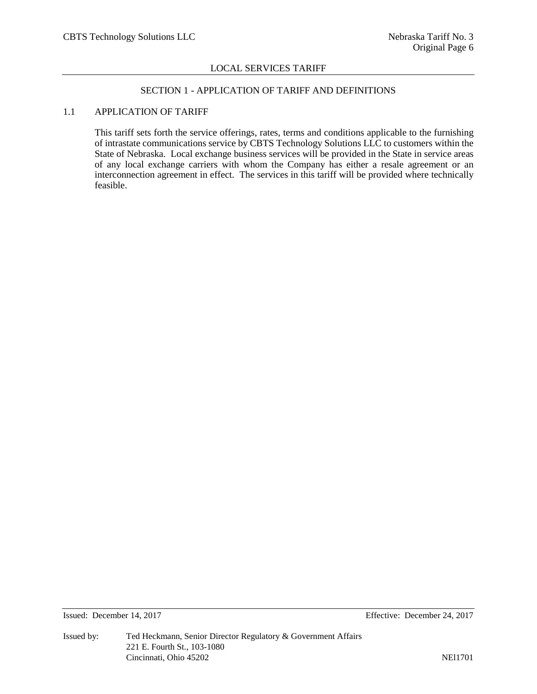# SECTION 1 - APPLICATION OF TARIFF AND DEFINITIONS

# 1.1 APPLICATION OF TARIFF

This tariff sets forth the service offerings, rates, terms and conditions applicable to the furnishing of intrastate communications service by CBTS Technology Solutions LLC to customers within the State of Nebraska. Local exchange business services will be provided in the State in service areas of any local exchange carriers with whom the Company has either a resale agreement or an interconnection agreement in effect. The services in this tariff will be provided where technically feasible.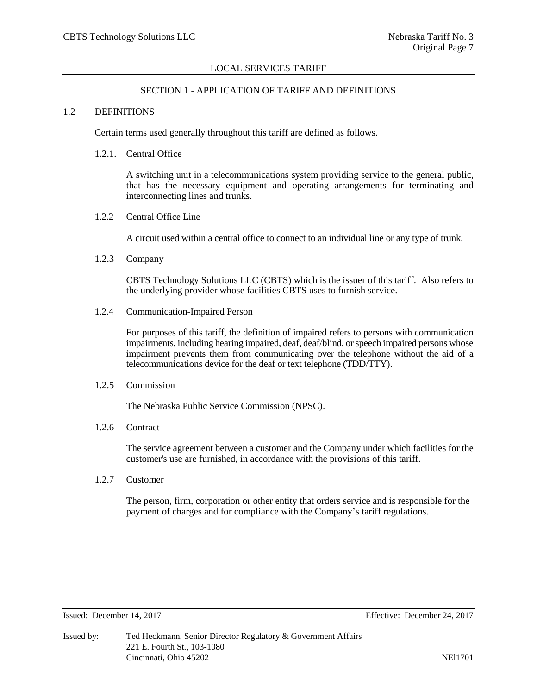#### SECTION 1 - APPLICATION OF TARIFF AND DEFINITIONS

#### 1.2 DEFINITIONS

Certain terms used generally throughout this tariff are defined as follows.

#### 1.2.1. Central Office

A switching unit in a telecommunications system providing service to the general public, that has the necessary equipment and operating arrangements for terminating and interconnecting lines and trunks.

1.2.2 Central Office Line

A circuit used within a central office to connect to an individual line or any type of trunk.

1.2.3 Company

CBTS Technology Solutions LLC (CBTS) which is the issuer of this tariff. Also refers to the underlying provider whose facilities CBTS uses to furnish service.

1.2.4 Communication-Impaired Person

For purposes of this tariff, the definition of impaired refers to persons with communication impairments, including hearing impaired, deaf, deaf/blind, or speech impaired persons whose impairment prevents them from communicating over the telephone without the aid of a telecommunications device for the deaf or text telephone (TDD/TTY).

#### 1.2.5 Commission

The Nebraska Public Service Commission (NPSC).

1.2.6 Contract

The service agreement between a customer and the Company under which facilities for the customer's use are furnished, in accordance with the provisions of this tariff.

1.2.7 Customer

The person, firm, corporation or other entity that orders service and is responsible for the payment of charges and for compliance with the Company's tariff regulations.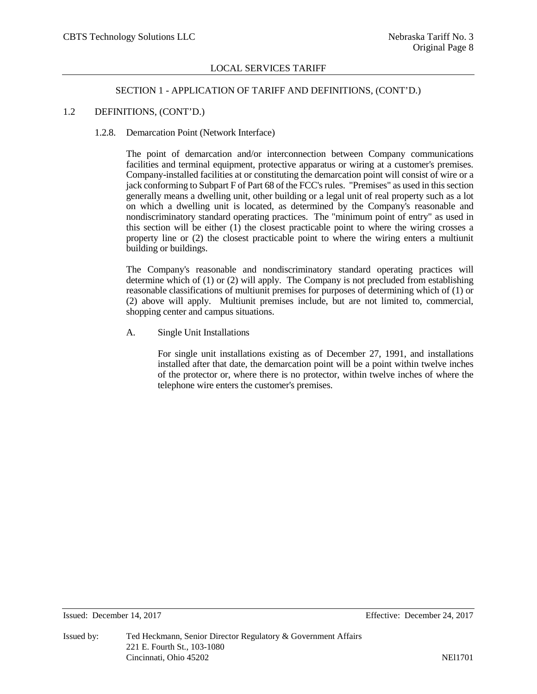#### SECTION 1 - APPLICATION OF TARIFF AND DEFINITIONS, (CONT'D.)

#### 1.2 DEFINITIONS, (CONT'D.)

#### 1.2.8. Demarcation Point (Network Interface)

The point of demarcation and/or interconnection between Company communications facilities and terminal equipment, protective apparatus or wiring at a customer's premises. Company-installed facilities at or constituting the demarcation point will consist of wire or a jack conforming to Subpart F of Part 68 of the FCC's rules. "Premises" as used in this section generally means a dwelling unit, other building or a legal unit of real property such as a lot on which a dwelling unit is located, as determined by the Company's reasonable and nondiscriminatory standard operating practices. The "minimum point of entry" as used in this section will be either (1) the closest practicable point to where the wiring crosses a property line or (2) the closest practicable point to where the wiring enters a multiunit building or buildings.

The Company's reasonable and nondiscriminatory standard operating practices will determine which of (1) or (2) will apply. The Company is not precluded from establishing reasonable classifications of multiunit premises for purposes of determining which of (1) or (2) above will apply. Multiunit premises include, but are not limited to, commercial, shopping center and campus situations.

A. Single Unit Installations

For single unit installations existing as of December 27, 1991, and installations installed after that date, the demarcation point will be a point within twelve inches of the protector or, where there is no protector, within twelve inches of where the telephone wire enters the customer's premises.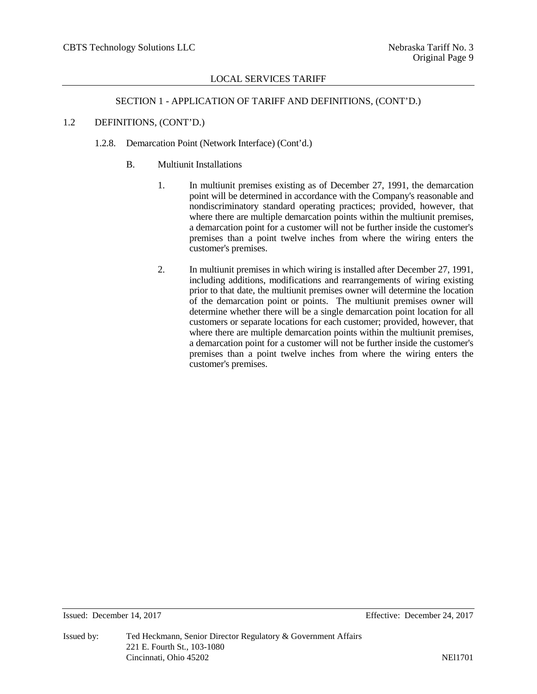# SECTION 1 - APPLICATION OF TARIFF AND DEFINITIONS, (CONT'D.)

# 1.2 DEFINITIONS, (CONT'D.)

# 1.2.8. Demarcation Point (Network Interface) (Cont'd.)

- B. Multiunit Installations
	- 1. In multiunit premises existing as of December 27, 1991, the demarcation point will be determined in accordance with the Company's reasonable and nondiscriminatory standard operating practices; provided, however, that where there are multiple demarcation points within the multiunit premises, a demarcation point for a customer will not be further inside the customer's premises than a point twelve inches from where the wiring enters the customer's premises.
	- 2. In multiunit premises in which wiring is installed after December 27, 1991, including additions, modifications and rearrangements of wiring existing prior to that date, the multiunit premises owner will determine the location of the demarcation point or points. The multiunit premises owner will determine whether there will be a single demarcation point location for all customers or separate locations for each customer; provided, however, that where there are multiple demarcation points within the multiunit premises, a demarcation point for a customer will not be further inside the customer's premises than a point twelve inches from where the wiring enters the customer's premises.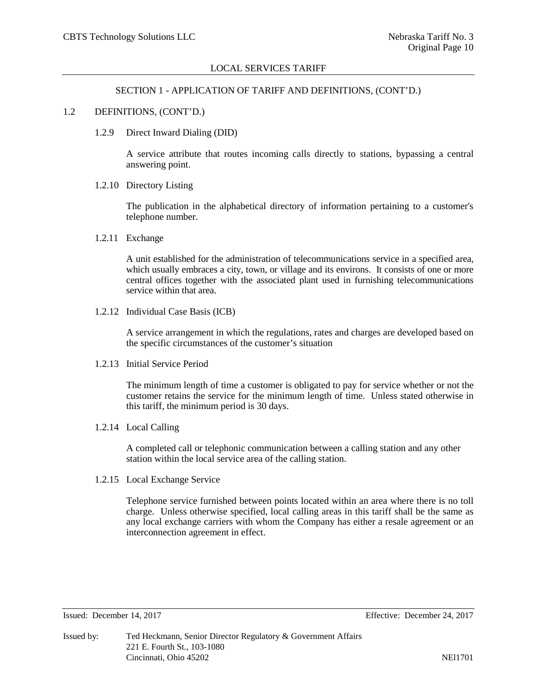#### SECTION 1 - APPLICATION OF TARIFF AND DEFINITIONS, (CONT'D.)

#### 1.2 DEFINITIONS, (CONT'D.)

1.2.9 Direct Inward Dialing (DID)

A service attribute that routes incoming calls directly to stations, bypassing a central answering point.

1.2.10 Directory Listing

The publication in the alphabetical directory of information pertaining to a customer's telephone number.

1.2.11 Exchange

A unit established for the administration of telecommunications service in a specified area, which usually embraces a city, town, or village and its environs. It consists of one or more central offices together with the associated plant used in furnishing telecommunications service within that area.

1.2.12 Individual Case Basis (ICB)

A service arrangement in which the regulations, rates and charges are developed based on the specific circumstances of the customer's situation

1.2.13 Initial Service Period

The minimum length of time a customer is obligated to pay for service whether or not the customer retains the service for the minimum length of time. Unless stated otherwise in this tariff, the minimum period is 30 days.

1.2.14 Local Calling

A completed call or telephonic communication between a calling station and any other station within the local service area of the calling station.

1.2.15 Local Exchange Service

Telephone service furnished between points located within an area where there is no toll charge. Unless otherwise specified, local calling areas in this tariff shall be the same as any local exchange carriers with whom the Company has either a resale agreement or an interconnection agreement in effect.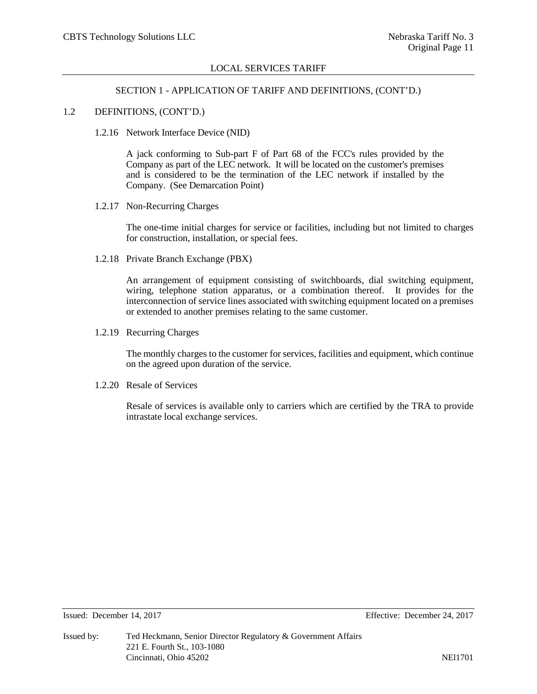# SECTION 1 - APPLICATION OF TARIFF AND DEFINITIONS, (CONT'D.)

#### 1.2 DEFINITIONS, (CONT'D.)

1.2.16 Network Interface Device (NID)

A jack conforming to Sub-part F of Part 68 of the FCC's rules provided by the Company as part of the LEC network. It will be located on the customer's premises and is considered to be the termination of the LEC network if installed by the Company. (See Demarcation Point)

1.2.17 Non-Recurring Charges

The one-time initial charges for service or facilities, including but not limited to charges for construction, installation, or special fees.

1.2.18 Private Branch Exchange (PBX)

An arrangement of equipment consisting of switchboards, dial switching equipment, wiring, telephone station apparatus, or a combination thereof. It provides for the interconnection of service lines associated with switching equipment located on a premises or extended to another premises relating to the same customer.

1.2.19 Recurring Charges

The monthly charges to the customer for services, facilities and equipment, which continue on the agreed upon duration of the service.

1.2.20 Resale of Services

Resale of services is available only to carriers which are certified by the TRA to provide intrastate local exchange services.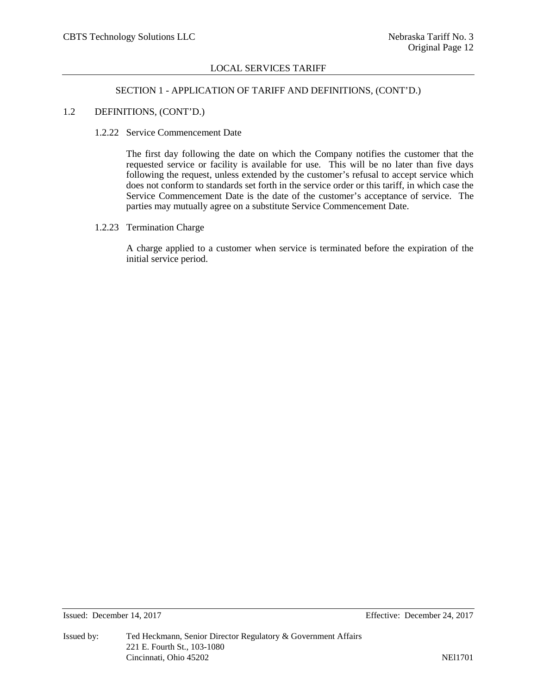#### SECTION 1 - APPLICATION OF TARIFF AND DEFINITIONS, (CONT'D.)

#### 1.2 DEFINITIONS, (CONT'D.)

#### 1.2.22 Service Commencement Date

The first day following the date on which the Company notifies the customer that the requested service or facility is available for use. This will be no later than five days following the request, unless extended by the customer's refusal to accept service which does not conform to standards set forth in the service order or this tariff, in which case the Service Commencement Date is the date of the customer's acceptance of service. The parties may mutually agree on a substitute Service Commencement Date.

# 1.2.23 Termination Charge

A charge applied to a customer when service is terminated before the expiration of the initial service period.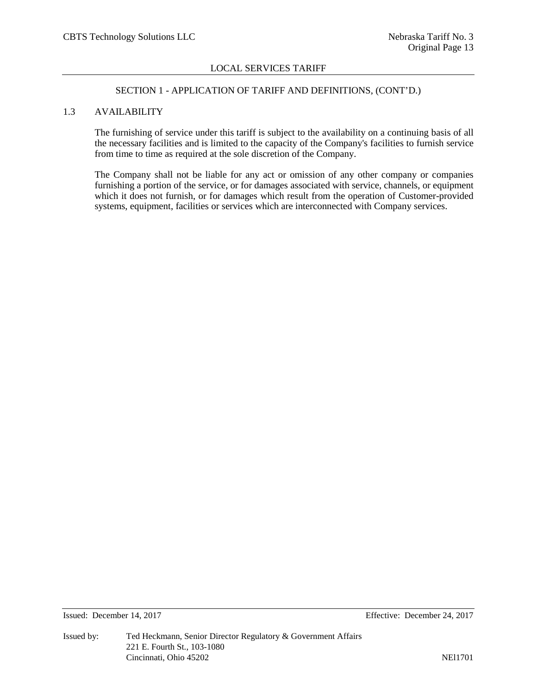# SECTION 1 - APPLICATION OF TARIFF AND DEFINITIONS, (CONT'D.)

# 1.3 AVAILABILITY

The furnishing of service under this tariff is subject to the availability on a continuing basis of all the necessary facilities and is limited to the capacity of the Company's facilities to furnish service from time to time as required at the sole discretion of the Company.

The Company shall not be liable for any act or omission of any other company or companies furnishing a portion of the service, or for damages associated with service, channels, or equipment which it does not furnish, or for damages which result from the operation of Customer-provided systems, equipment, facilities or services which are interconnected with Company services.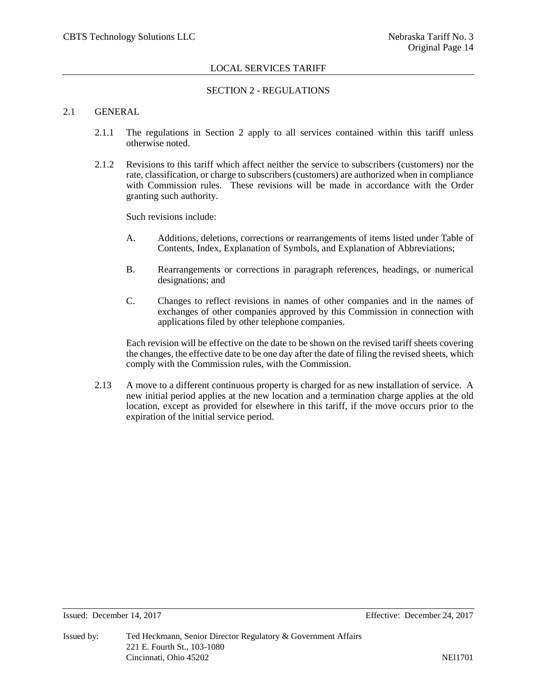# SECTION 2 - REGULATIONS

# 2.1 GENERAL

- 2.1.1 The regulations in Section 2 apply to all services contained within this tariff unless otherwise noted.
- 2.1.2 Revisions to this tariff which affect neither the service to subscribers (customers) nor the rate, classification, or charge to subscribers (customers) are authorized when in compliance with Commission rules. These revisions will be made in accordance with the Order granting such authority.

Such revisions include:

- A. Additions, deletions, corrections or rearrangements of items listed under Table of Contents, Index, Explanation of Symbols, and Explanation of Abbreviations;
- B. Rearrangements or corrections in paragraph references, headings, or numerical designations; and
- C. Changes to reflect revisions in names of other companies and in the names of exchanges of other companies approved by this Commission in connection with applications filed by other telephone companies.

Each revision will be effective on the date to be shown on the revised tariff sheets covering the changes, the effective date to be one day after the date of filing the revised sheets, which comply with the Commission rules, with the Commission.

2.13 A move to a different continuous property is charged for as new installation of service. A new initial period applies at the new location and a termination charge applies at the old location, except as provided for elsewhere in this tariff, if the move occurs prior to the expiration of the initial service period.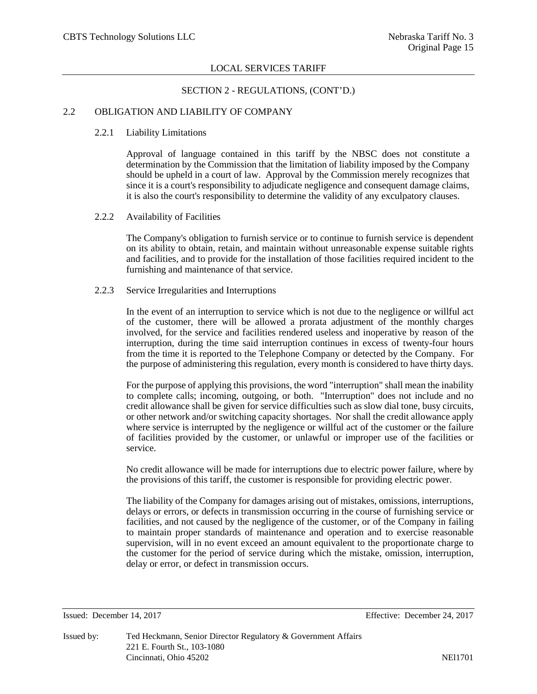#### SECTION 2 - REGULATIONS, (CONT'D.)

# 2.2 OBLIGATION AND LIABILITY OF COMPANY

#### 2.2.1 Liability Limitations

Approval of language contained in this tariff by the NBSC does not constitute a determination by the Commission that the limitation of liability imposed by the Company should be upheld in a court of law. Approval by the Commission merely recognizes that since it is a court's responsibility to adjudicate negligence and consequent damage claims, it is also the court's responsibility to determine the validity of any exculpatory clauses.

#### 2.2.2 Availability of Facilities

The Company's obligation to furnish service or to continue to furnish service is dependent on its ability to obtain, retain, and maintain without unreasonable expense suitable rights and facilities, and to provide for the installation of those facilities required incident to the furnishing and maintenance of that service.

# 2.2.3 Service Irregularities and Interruptions

In the event of an interruption to service which is not due to the negligence or willful act of the customer, there will be allowed a prorata adjustment of the monthly charges involved, for the service and facilities rendered useless and inoperative by reason of the interruption, during the time said interruption continues in excess of twenty-four hours from the time it is reported to the Telephone Company or detected by the Company. For the purpose of administering this regulation, every month is considered to have thirty days.

For the purpose of applying this provisions, the word "interruption" shall mean the inability to complete calls; incoming, outgoing, or both. "Interruption" does not include and no credit allowance shall be given for service difficulties such as slow dial tone, busy circuits, or other network and/or switching capacity shortages. Nor shall the credit allowance apply where service is interrupted by the negligence or willful act of the customer or the failure of facilities provided by the customer, or unlawful or improper use of the facilities or service.

No credit allowance will be made for interruptions due to electric power failure, where by the provisions of this tariff, the customer is responsible for providing electric power.

The liability of the Company for damages arising out of mistakes, omissions, interruptions, delays or errors, or defects in transmission occurring in the course of furnishing service or facilities, and not caused by the negligence of the customer, or of the Company in failing to maintain proper standards of maintenance and operation and to exercise reasonable supervision, will in no event exceed an amount equivalent to the proportionate charge to the customer for the period of service during which the mistake, omission, interruption, delay or error, or defect in transmission occurs.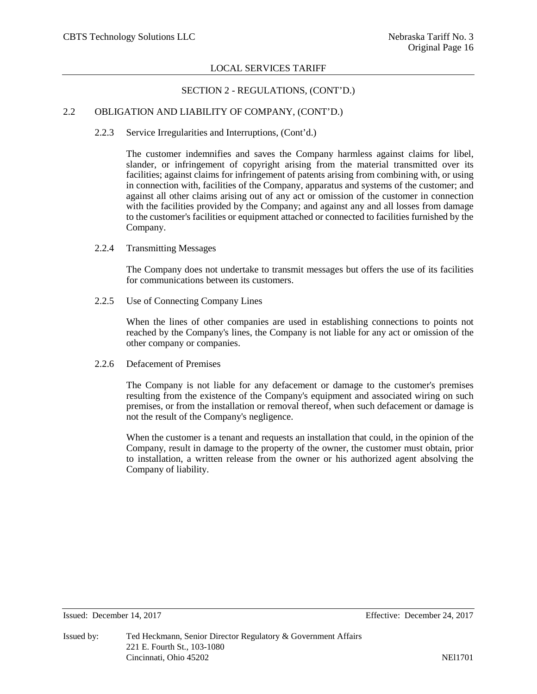# SECTION 2 - REGULATIONS, (CONT'D.)

# 2.2 OBLIGATION AND LIABILITY OF COMPANY, (CONT'D.)

# 2.2.3 Service Irregularities and Interruptions, (Cont'd.)

The customer indemnifies and saves the Company harmless against claims for libel, slander, or infringement of copyright arising from the material transmitted over its facilities; against claims for infringement of patents arising from combining with, or using in connection with, facilities of the Company, apparatus and systems of the customer; and against all other claims arising out of any act or omission of the customer in connection with the facilities provided by the Company; and against any and all losses from damage to the customer's facilities or equipment attached or connected to facilities furnished by the Company.

2.2.4 Transmitting Messages

The Company does not undertake to transmit messages but offers the use of its facilities for communications between its customers.

2.2.5 Use of Connecting Company Lines

When the lines of other companies are used in establishing connections to points not reached by the Company's lines, the Company is not liable for any act or omission of the other company or companies.

2.2.6 Defacement of Premises

The Company is not liable for any defacement or damage to the customer's premises resulting from the existence of the Company's equipment and associated wiring on such premises, or from the installation or removal thereof, when such defacement or damage is not the result of the Company's negligence.

When the customer is a tenant and requests an installation that could, in the opinion of the Company, result in damage to the property of the owner, the customer must obtain, prior to installation, a written release from the owner or his authorized agent absolving the Company of liability.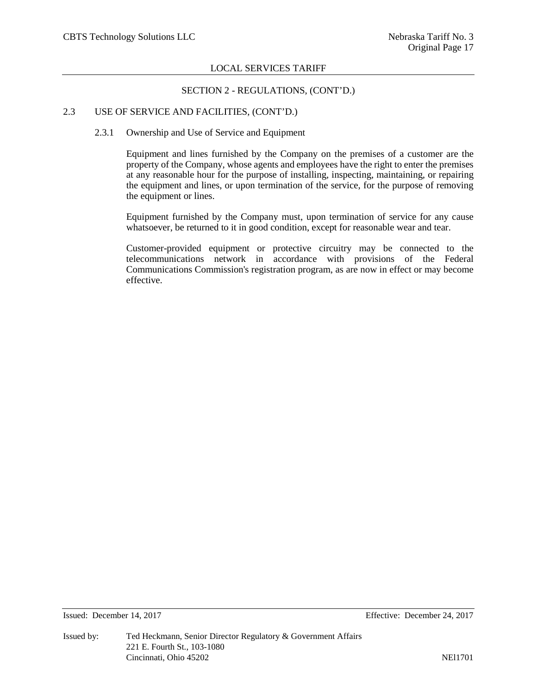#### SECTION 2 - REGULATIONS, (CONT'D.)

# 2.3 USE OF SERVICE AND FACILITIES, (CONT'D.)

# 2.3.1 Ownership and Use of Service and Equipment

Equipment and lines furnished by the Company on the premises of a customer are the property of the Company, whose agents and employees have the right to enter the premises at any reasonable hour for the purpose of installing, inspecting, maintaining, or repairing the equipment and lines, or upon termination of the service, for the purpose of removing the equipment or lines.

Equipment furnished by the Company must, upon termination of service for any cause whatsoever, be returned to it in good condition, except for reasonable wear and tear.

Customer-provided equipment or protective circuitry may be connected to the telecommunications network in accordance with provisions of the Federal Communications Commission's registration program, as are now in effect or may become effective.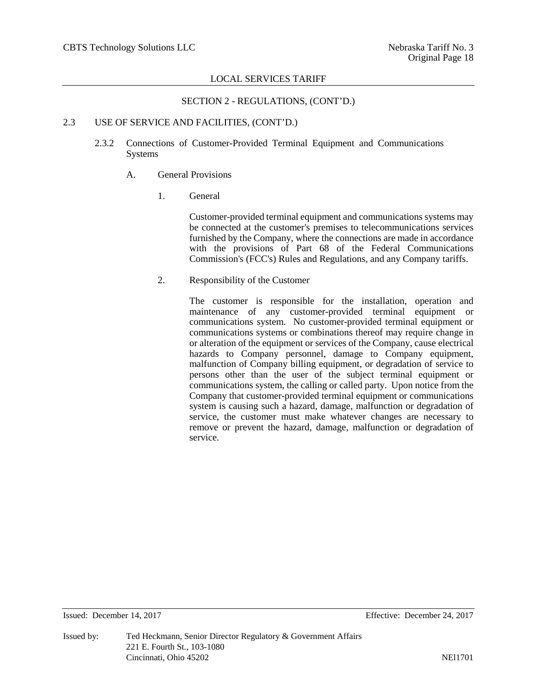# SECTION 2 - REGULATIONS, (CONT'D.)

# 2.3 USE OF SERVICE AND FACILITIES, (CONT'D.)

2.3.2 Connections of Customer-Provided Terminal Equipment and Communications Systems

# A. General Provisions

1. General

Customer-provided terminal equipment and communications systems may be connected at the customer's premises to telecommunications services furnished by the Company, where the connections are made in accordance with the provisions of Part 68 of the Federal Communications Commission's (FCC's) Rules and Regulations, and any Company tariffs.

2. Responsibility of the Customer

The customer is responsible for the installation, operation and maintenance of any customer-provided terminal equipment or communications system. No customer-provided terminal equipment or communications systems or combinations thereof may require change in or alteration of the equipment or services of the Company, cause electrical hazards to Company personnel, damage to Company equipment, malfunction of Company billing equipment, or degradation of service to persons other than the user of the subject terminal equipment or communications system, the calling or called party. Upon notice from the Company that customer-provided terminal equipment or communications system is causing such a hazard, damage, malfunction or degradation of service, the customer must make whatever changes are necessary to remove or prevent the hazard, damage, malfunction or degradation of service.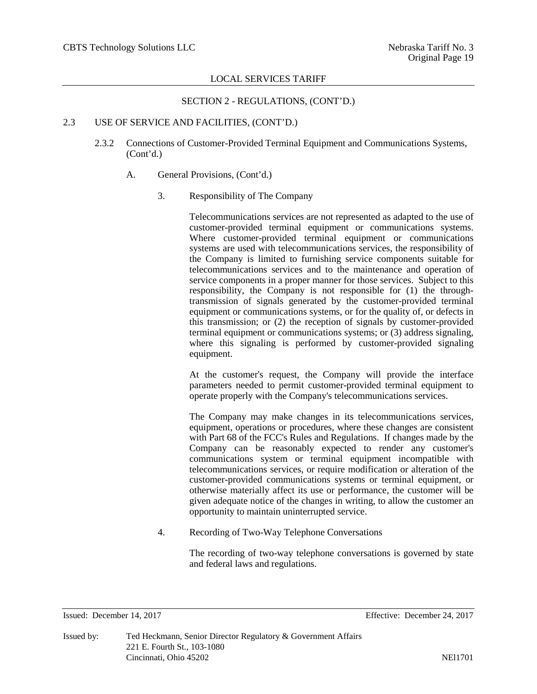# SECTION 2 - REGULATIONS, (CONT'D.)

# 2.3 USE OF SERVICE AND FACILITIES, (CONT'D.)

- 2.3.2 Connections of Customer-Provided Terminal Equipment and Communications Systems, (Cont'd.)
	- A. General Provisions, (Cont'd.)

# 3. Responsibility of The Company

Telecommunications services are not represented as adapted to the use of customer-provided terminal equipment or communications systems. Where customer-provided terminal equipment or communications systems are used with telecommunications services, the responsibility of the Company is limited to furnishing service components suitable for telecommunications services and to the maintenance and operation of service components in a proper manner for those services. Subject to this responsibility, the Company is not responsible for (1) the throughtransmission of signals generated by the customer-provided terminal equipment or communications systems, or for the quality of, or defects in this transmission; or (2) the reception of signals by customer-provided terminal equipment or communications systems; or (3) address signaling, where this signaling is performed by customer-provided signaling equipment.

At the customer's request, the Company will provide the interface parameters needed to permit customer-provided terminal equipment to operate properly with the Company's telecommunications services.

The Company may make changes in its telecommunications services, equipment, operations or procedures, where these changes are consistent with Part 68 of the FCC's Rules and Regulations. If changes made by the Company can be reasonably expected to render any customer's communications system or terminal equipment incompatible with telecommunications services, or require modification or alteration of the customer-provided communications systems or terminal equipment, or otherwise materially affect its use or performance, the customer will be given adequate notice of the changes in writing, to allow the customer an opportunity to maintain uninterrupted service.

4. Recording of Two-Way Telephone Conversations

The recording of two-way telephone conversations is governed by state and federal laws and regulations.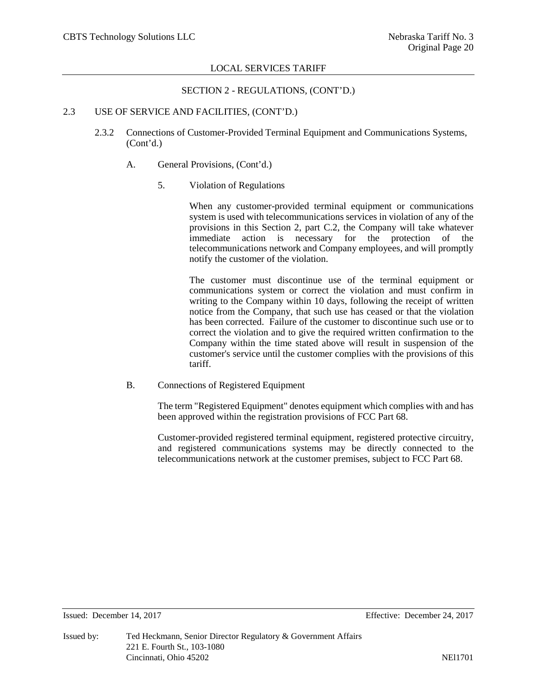#### SECTION 2 - REGULATIONS, (CONT'D.)

# 2.3 USE OF SERVICE AND FACILITIES, (CONT'D.)

- 2.3.2 Connections of Customer-Provided Terminal Equipment and Communications Systems, (Cont'd.)
	- A. General Provisions, (Cont'd.)
		- 5. Violation of Regulations

When any customer-provided terminal equipment or communications system is used with telecommunications services in violation of any of the provisions in this Section 2, part C.2, the Company will take whatever immediate action is necessary for the protection of the telecommunications network and Company employees, and will promptly notify the customer of the violation.

The customer must discontinue use of the terminal equipment or communications system or correct the violation and must confirm in writing to the Company within 10 days, following the receipt of written notice from the Company, that such use has ceased or that the violation has been corrected. Failure of the customer to discontinue such use or to correct the violation and to give the required written confirmation to the Company within the time stated above will result in suspension of the customer's service until the customer complies with the provisions of this tariff.

B. Connections of Registered Equipment

The term "Registered Equipment" denotes equipment which complies with and has been approved within the registration provisions of FCC Part 68.

Customer-provided registered terminal equipment, registered protective circuitry, and registered communications systems may be directly connected to the telecommunications network at the customer premises, subject to FCC Part 68.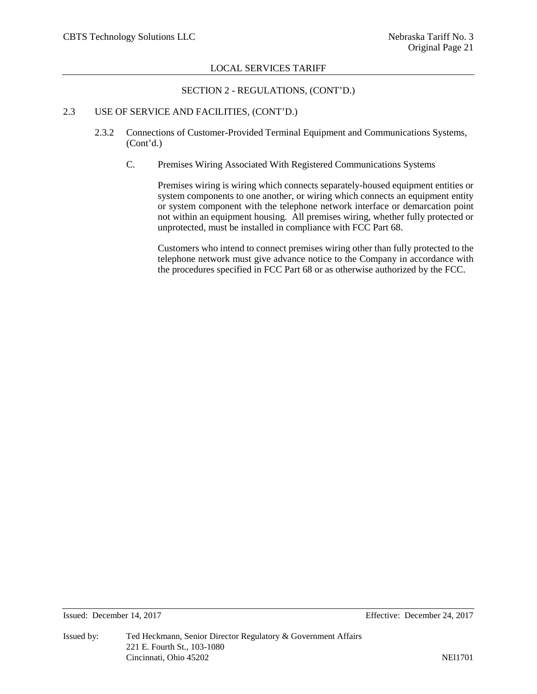#### SECTION 2 - REGULATIONS, (CONT'D.)

# 2.3 USE OF SERVICE AND FACILITIES, (CONT'D.)

- 2.3.2 Connections of Customer-Provided Terminal Equipment and Communications Systems, (Cont'd.)
	- C. Premises Wiring Associated With Registered Communications Systems

Premises wiring is wiring which connects separately-housed equipment entities or system components to one another, or wiring which connects an equipment entity or system component with the telephone network interface or demarcation point not within an equipment housing. All premises wiring, whether fully protected or unprotected, must be installed in compliance with FCC Part 68.

Customers who intend to connect premises wiring other than fully protected to the telephone network must give advance notice to the Company in accordance with the procedures specified in FCC Part 68 or as otherwise authorized by the FCC.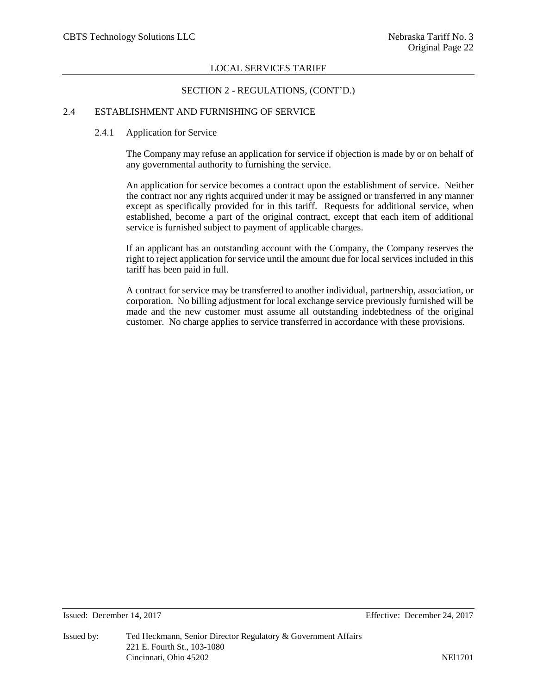#### SECTION 2 - REGULATIONS, (CONT'D.)

# 2.4 ESTABLISHMENT AND FURNISHING OF SERVICE

#### 2.4.1 Application for Service

The Company may refuse an application for service if objection is made by or on behalf of any governmental authority to furnishing the service.

An application for service becomes a contract upon the establishment of service. Neither the contract nor any rights acquired under it may be assigned or transferred in any manner except as specifically provided for in this tariff. Requests for additional service, when established, become a part of the original contract, except that each item of additional service is furnished subject to payment of applicable charges.

If an applicant has an outstanding account with the Company, the Company reserves the right to reject application for service until the amount due for local services included in this tariff has been paid in full.

A contract for service may be transferred to another individual, partnership, association, or corporation. No billing adjustment for local exchange service previously furnished will be made and the new customer must assume all outstanding indebtedness of the original customer. No charge applies to service transferred in accordance with these provisions.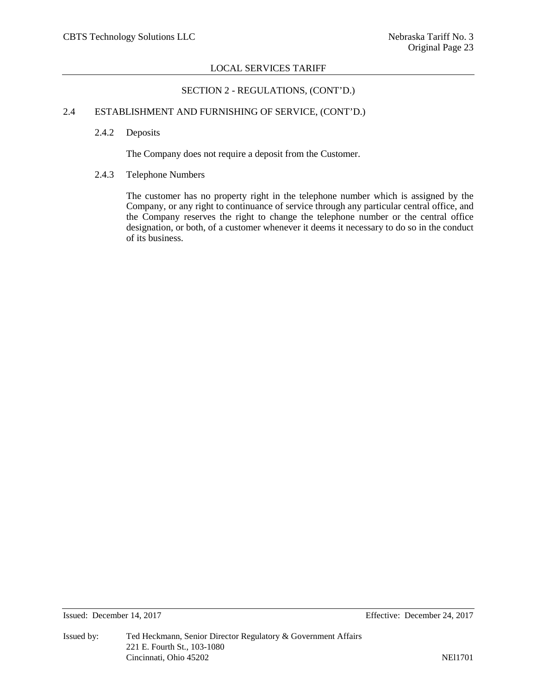# SECTION 2 - REGULATIONS, (CONT'D.)

# 2.4 ESTABLISHMENT AND FURNISHING OF SERVICE, (CONT'D.)

2.4.2 Deposits

The Company does not require a deposit from the Customer.

# 2.4.3 Telephone Numbers

The customer has no property right in the telephone number which is assigned by the Company, or any right to continuance of service through any particular central office, and the Company reserves the right to change the telephone number or the central office designation, or both, of a customer whenever it deems it necessary to do so in the conduct of its business.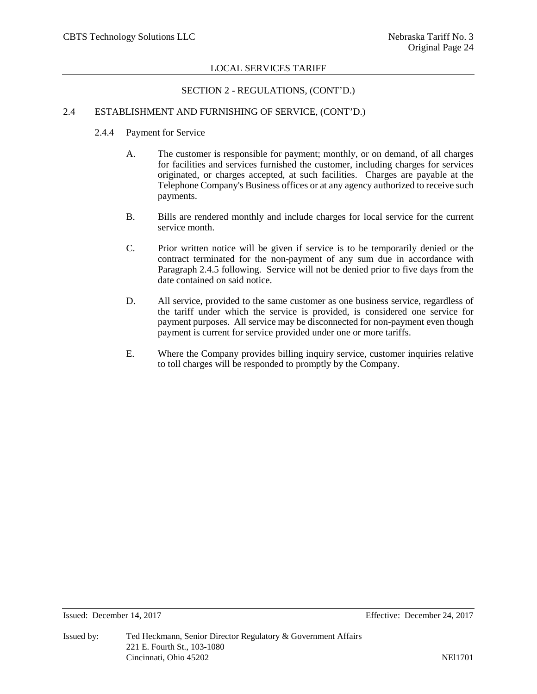# SECTION 2 - REGULATIONS, (CONT'D.)

# 2.4 ESTABLISHMENT AND FURNISHING OF SERVICE, (CONT'D.)

- 2.4.4 Payment for Service
	- A. The customer is responsible for payment; monthly, or on demand, of all charges for facilities and services furnished the customer, including charges for services originated, or charges accepted, at such facilities. Charges are payable at the Telephone Company's Business offices or at any agency authorized to receive such payments.
	- B. Bills are rendered monthly and include charges for local service for the current service month.
	- C. Prior written notice will be given if service is to be temporarily denied or the contract terminated for the non-payment of any sum due in accordance with Paragraph 2.4.5 following. Service will not be denied prior to five days from the date contained on said notice.
	- D. All service, provided to the same customer as one business service, regardless of the tariff under which the service is provided, is considered one service for payment purposes. All service may be disconnected for non-payment even though payment is current for service provided under one or more tariffs.
	- E. Where the Company provides billing inquiry service, customer inquiries relative to toll charges will be responded to promptly by the Company.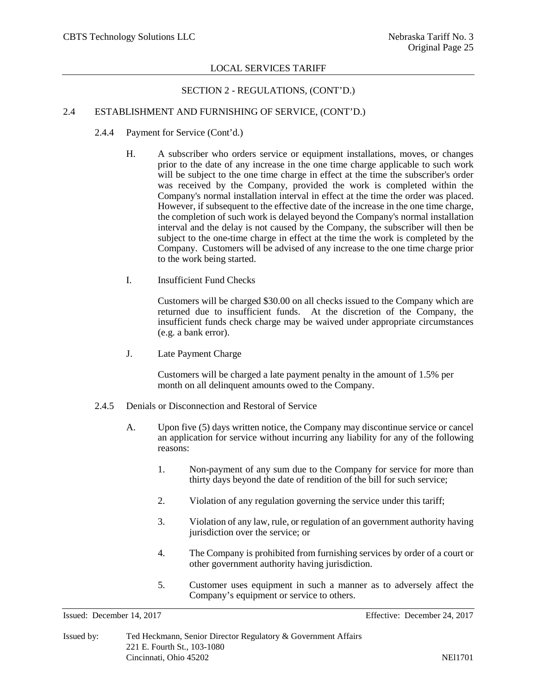#### SECTION 2 - REGULATIONS, (CONT'D.)

# 2.4 ESTABLISHMENT AND FURNISHING OF SERVICE, (CONT'D.)

- 2.4.4 Payment for Service (Cont'd.)
	- H. A subscriber who orders service or equipment installations, moves, or changes prior to the date of any increase in the one time charge applicable to such work will be subject to the one time charge in effect at the time the subscriber's order was received by the Company, provided the work is completed within the Company's normal installation interval in effect at the time the order was placed. However, if subsequent to the effective date of the increase in the one time charge, the completion of such work is delayed beyond the Company's normal installation interval and the delay is not caused by the Company, the subscriber will then be subject to the one-time charge in effect at the time the work is completed by the Company. Customers will be advised of any increase to the one time charge prior to the work being started.
	- I. Insufficient Fund Checks

Customers will be charged \$30.00 on all checks issued to the Company which are returned due to insufficient funds. At the discretion of the Company, the insufficient funds check charge may be waived under appropriate circumstances (e.g. a bank error).

J. Late Payment Charge

Customers will be charged a late payment penalty in the amount of 1.5% per month on all delinquent amounts owed to the Company.

- 2.4.5 Denials or Disconnection and Restoral of Service
	- A. Upon five (5) days written notice, the Company may discontinue service or cancel an application for service without incurring any liability for any of the following reasons:
		- 1. Non-payment of any sum due to the Company for service for more than thirty days beyond the date of rendition of the bill for such service;
		- 2. Violation of any regulation governing the service under this tariff;
		- 3. Violation of any law, rule, or regulation of an government authority having jurisdiction over the service; or
		- 4. The Company is prohibited from furnishing services by order of a court or other government authority having jurisdiction.
		- 5. Customer uses equipment in such a manner as to adversely affect the Company's equipment or service to others.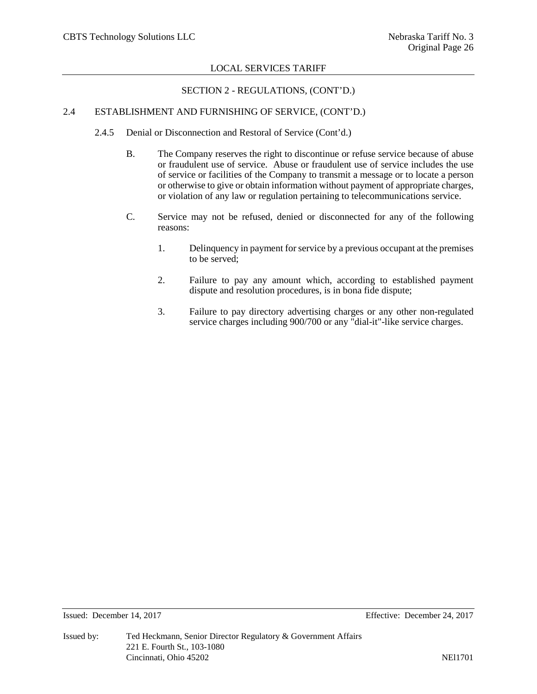# SECTION 2 - REGULATIONS, (CONT'D.)

# 2.4 ESTABLISHMENT AND FURNISHING OF SERVICE, (CONT'D.)

- 2.4.5 Denial or Disconnection and Restoral of Service (Cont'd.)
	- B. The Company reserves the right to discontinue or refuse service because of abuse or fraudulent use of service. Abuse or fraudulent use of service includes the use of service or facilities of the Company to transmit a message or to locate a person or otherwise to give or obtain information without payment of appropriate charges, or violation of any law or regulation pertaining to telecommunications service.
	- C. Service may not be refused, denied or disconnected for any of the following reasons:
		- 1. Delinquency in payment for service by a previous occupant at the premises to be served;
		- 2. Failure to pay any amount which, according to established payment dispute and resolution procedures, is in bona fide dispute;
		- 3. Failure to pay directory advertising charges or any other non-regulated service charges including 900/700 or any "dial-it"-like service charges.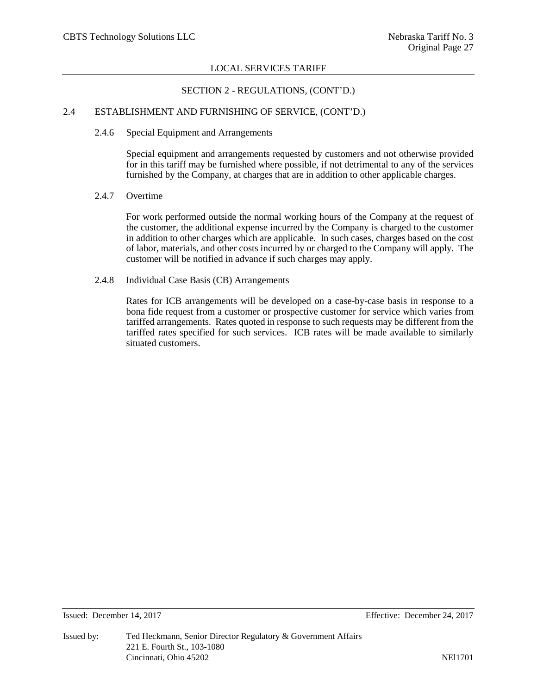# SECTION 2 - REGULATIONS, (CONT'D.)

# 2.4 ESTABLISHMENT AND FURNISHING OF SERVICE, (CONT'D.)

#### 2.4.6 Special Equipment and Arrangements

Special equipment and arrangements requested by customers and not otherwise provided for in this tariff may be furnished where possible, if not detrimental to any of the services furnished by the Company, at charges that are in addition to other applicable charges.

#### 2.4.7 Overtime

For work performed outside the normal working hours of the Company at the request of the customer, the additional expense incurred by the Company is charged to the customer in addition to other charges which are applicable. In such cases, charges based on the cost of labor, materials, and other costs incurred by or charged to the Company will apply. The customer will be notified in advance if such charges may apply.

#### 2.4.8 Individual Case Basis (CB) Arrangements

Rates for ICB arrangements will be developed on a case-by-case basis in response to a bona fide request from a customer or prospective customer for service which varies from tariffed arrangements. Rates quoted in response to such requests may be different from the tariffed rates specified for such services. ICB rates will be made available to similarly situated customers.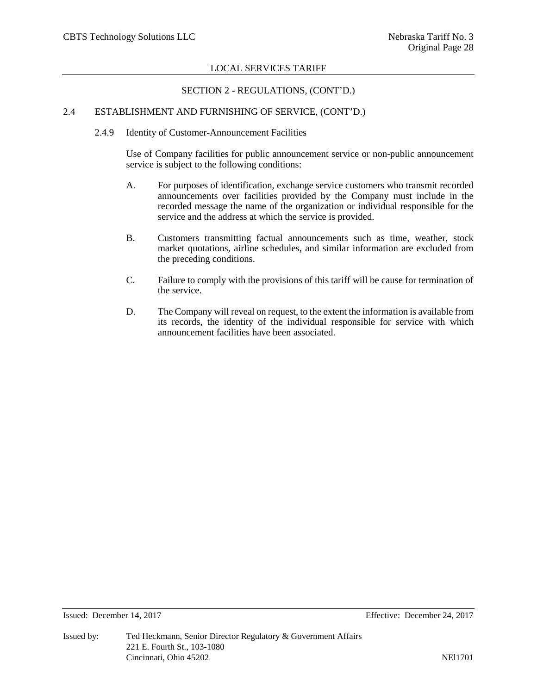# SECTION 2 - REGULATIONS, (CONT'D.)

# 2.4 ESTABLISHMENT AND FURNISHING OF SERVICE, (CONT'D.)

2.4.9 Identity of Customer-Announcement Facilities

Use of Company facilities for public announcement service or non-public announcement service is subject to the following conditions:

- A. For purposes of identification, exchange service customers who transmit recorded announcements over facilities provided by the Company must include in the recorded message the name of the organization or individual responsible for the service and the address at which the service is provided.
- B. Customers transmitting factual announcements such as time, weather, stock market quotations, airline schedules, and similar information are excluded from the preceding conditions.
- C. Failure to comply with the provisions of this tariff will be cause for termination of the service.
- D. The Company will reveal on request, to the extent the information is available from its records, the identity of the individual responsible for service with which announcement facilities have been associated.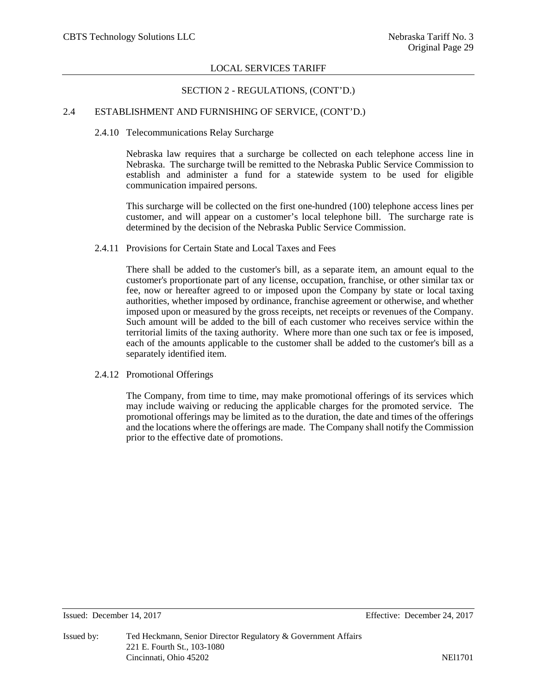# SECTION 2 - REGULATIONS, (CONT'D.)

# 2.4 ESTABLISHMENT AND FURNISHING OF SERVICE, (CONT'D.)

#### 2.4.10 Telecommunications Relay Surcharge

Nebraska law requires that a surcharge be collected on each telephone access line in Nebraska. The surcharge twill be remitted to the Nebraska Public Service Commission to establish and administer a fund for a statewide system to be used for eligible communication impaired persons.

This surcharge will be collected on the first one-hundred (100) telephone access lines per customer, and will appear on a customer's local telephone bill. The surcharge rate is determined by the decision of the Nebraska Public Service Commission.

# 2.4.11 Provisions for Certain State and Local Taxes and Fees

There shall be added to the customer's bill, as a separate item, an amount equal to the customer's proportionate part of any license, occupation, franchise, or other similar tax or fee, now or hereafter agreed to or imposed upon the Company by state or local taxing authorities, whether imposed by ordinance, franchise agreement or otherwise, and whether imposed upon or measured by the gross receipts, net receipts or revenues of the Company. Such amount will be added to the bill of each customer who receives service within the territorial limits of the taxing authority. Where more than one such tax or fee is imposed, each of the amounts applicable to the customer shall be added to the customer's bill as a separately identified item.

2.4.12 Promotional Offerings

The Company, from time to time, may make promotional offerings of its services which may include waiving or reducing the applicable charges for the promoted service. The promotional offerings may be limited as to the duration, the date and times of the offerings and the locations where the offerings are made. The Company shall notify the Commission prior to the effective date of promotions.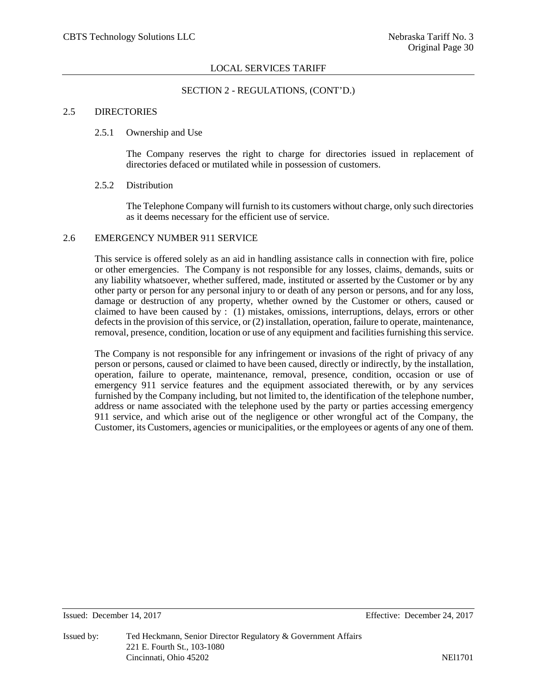# SECTION 2 - REGULATIONS, (CONT'D.)

# 2.5 DIRECTORIES

#### 2.5.1 Ownership and Use

The Company reserves the right to charge for directories issued in replacement of directories defaced or mutilated while in possession of customers.

#### 2.5.2 Distribution

The Telephone Company will furnish to its customers without charge, only such directories as it deems necessary for the efficient use of service.

# 2.6 EMERGENCY NUMBER 911 SERVICE

This service is offered solely as an aid in handling assistance calls in connection with fire, police or other emergencies. The Company is not responsible for any losses, claims, demands, suits or any liability whatsoever, whether suffered, made, instituted or asserted by the Customer or by any other party or person for any personal injury to or death of any person or persons, and for any loss, damage or destruction of any property, whether owned by the Customer or others, caused or claimed to have been caused by : (1) mistakes, omissions, interruptions, delays, errors or other defects in the provision of this service, or (2) installation, operation, failure to operate, maintenance, removal, presence, condition, location or use of any equipment and facilities furnishing this service.

The Company is not responsible for any infringement or invasions of the right of privacy of any person or persons, caused or claimed to have been caused, directly or indirectly, by the installation, operation, failure to operate, maintenance, removal, presence, condition, occasion or use of emergency 911 service features and the equipment associated therewith, or by any services furnished by the Company including, but not limited to, the identification of the telephone number, address or name associated with the telephone used by the party or parties accessing emergency 911 service, and which arise out of the negligence or other wrongful act of the Company, the Customer, its Customers, agencies or municipalities, or the employees or agents of any one of them.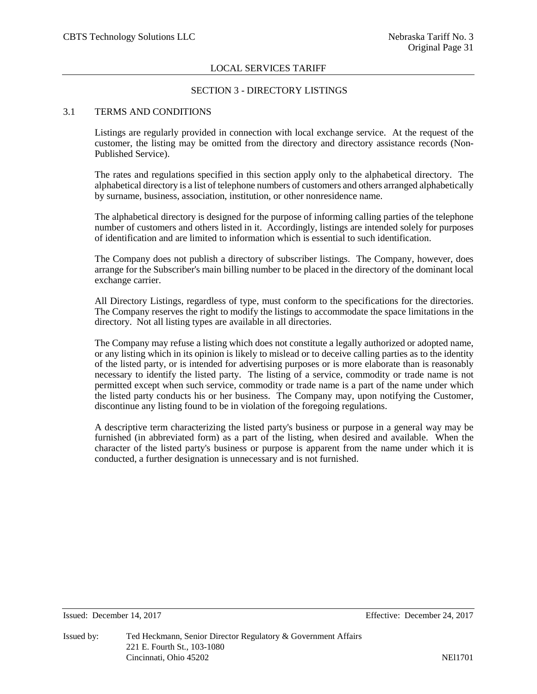# SECTION 3 - DIRECTORY LISTINGS

# 3.1 TERMS AND CONDITIONS

Listings are regularly provided in connection with local exchange service. At the request of the customer, the listing may be omitted from the directory and directory assistance records (Non-Published Service).

The rates and regulations specified in this section apply only to the alphabetical directory. The alphabetical directory is a list of telephone numbers of customers and others arranged alphabetically by surname, business, association, institution, or other nonresidence name.

The alphabetical directory is designed for the purpose of informing calling parties of the telephone number of customers and others listed in it. Accordingly, listings are intended solely for purposes of identification and are limited to information which is essential to such identification.

The Company does not publish a directory of subscriber listings. The Company, however, does arrange for the Subscriber's main billing number to be placed in the directory of the dominant local exchange carrier.

All Directory Listings, regardless of type, must conform to the specifications for the directories. The Company reserves the right to modify the listings to accommodate the space limitations in the directory. Not all listing types are available in all directories.

The Company may refuse a listing which does not constitute a legally authorized or adopted name, or any listing which in its opinion is likely to mislead or to deceive calling parties as to the identity of the listed party, or is intended for advertising purposes or is more elaborate than is reasonably necessary to identify the listed party. The listing of a service, commodity or trade name is not permitted except when such service, commodity or trade name is a part of the name under which the listed party conducts his or her business. The Company may, upon notifying the Customer, discontinue any listing found to be in violation of the foregoing regulations.

A descriptive term characterizing the listed party's business or purpose in a general way may be furnished (in abbreviated form) as a part of the listing, when desired and available. When the character of the listed party's business or purpose is apparent from the name under which it is conducted, a further designation is unnecessary and is not furnished.

Issued: December 14, 2017 Effective: December 24, 2017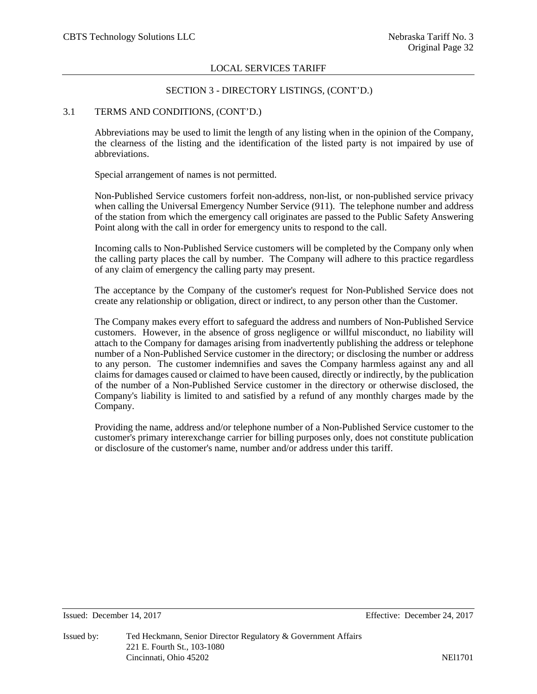#### SECTION 3 - DIRECTORY LISTINGS, (CONT'D.)

# 3.1 TERMS AND CONDITIONS, (CONT'D.)

Abbreviations may be used to limit the length of any listing when in the opinion of the Company, the clearness of the listing and the identification of the listed party is not impaired by use of abbreviations.

Special arrangement of names is not permitted.

Non-Published Service customers forfeit non-address, non-list, or non-published service privacy when calling the Universal Emergency Number Service (911). The telephone number and address of the station from which the emergency call originates are passed to the Public Safety Answering Point along with the call in order for emergency units to respond to the call.

Incoming calls to Non-Published Service customers will be completed by the Company only when the calling party places the call by number. The Company will adhere to this practice regardless of any claim of emergency the calling party may present.

The acceptance by the Company of the customer's request for Non-Published Service does not create any relationship or obligation, direct or indirect, to any person other than the Customer.

The Company makes every effort to safeguard the address and numbers of Non-Published Service customers. However, in the absence of gross negligence or willful misconduct, no liability will attach to the Company for damages arising from inadvertently publishing the address or telephone number of a Non-Published Service customer in the directory; or disclosing the number or address to any person. The customer indemnifies and saves the Company harmless against any and all claims for damages caused or claimed to have been caused, directly or indirectly, by the publication of the number of a Non-Published Service customer in the directory or otherwise disclosed, the Company's liability is limited to and satisfied by a refund of any monthly charges made by the Company.

Providing the name, address and/or telephone number of a Non-Published Service customer to the customer's primary interexchange carrier for billing purposes only, does not constitute publication or disclosure of the customer's name, number and/or address under this tariff.

Issued: December 14, 2017 Effective: December 24, 2017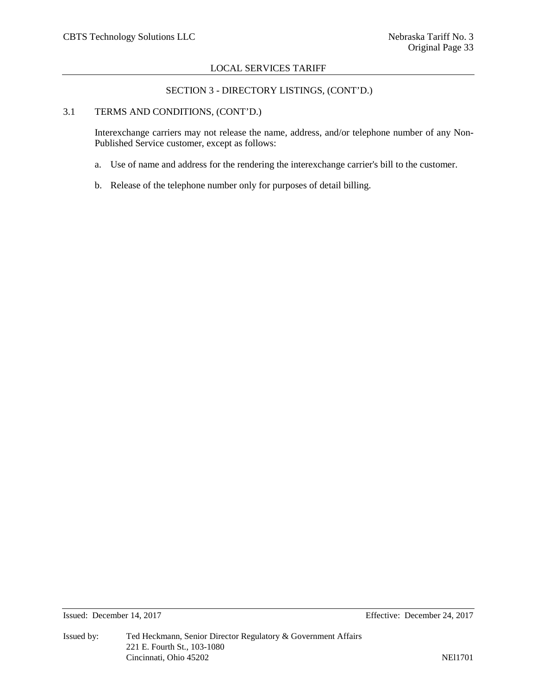# SECTION 3 - DIRECTORY LISTINGS, (CONT'D.)

#### 3.1 TERMS AND CONDITIONS, (CONT'D.)

Interexchange carriers may not release the name, address, and/or telephone number of any Non-Published Service customer, except as follows:

- a. Use of name and address for the rendering the interexchange carrier's bill to the customer.
- b. Release of the telephone number only for purposes of detail billing.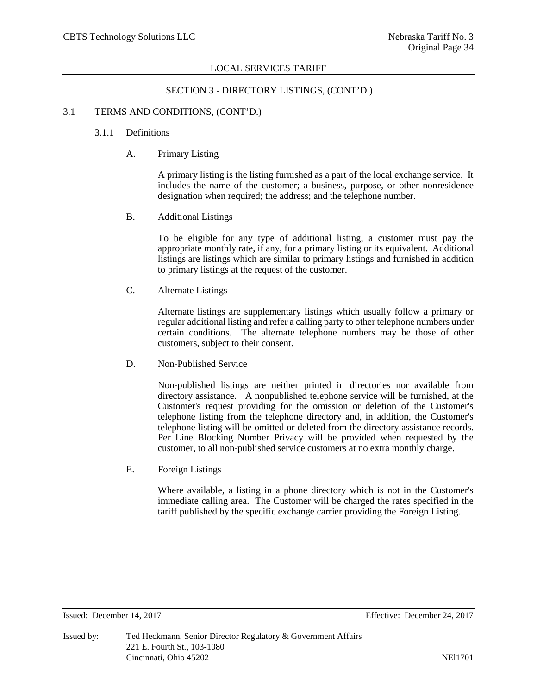#### SECTION 3 - DIRECTORY LISTINGS, (CONT'D.)

# 3.1 TERMS AND CONDITIONS, (CONT'D.)

# 3.1.1 Definitions

A. Primary Listing

A primary listing is the listing furnished as a part of the local exchange service. It includes the name of the customer; a business, purpose, or other nonresidence designation when required; the address; and the telephone number.

B. Additional Listings

To be eligible for any type of additional listing, a customer must pay the appropriate monthly rate, if any, for a primary listing or its equivalent. Additional listings are listings which are similar to primary listings and furnished in addition to primary listings at the request of the customer.

C. Alternate Listings

Alternate listings are supplementary listings which usually follow a primary or regular additional listing and refer a calling party to other telephone numbers under certain conditions. The alternate telephone numbers may be those of other customers, subject to their consent.

D. Non-Published Service

Non-published listings are neither printed in directories nor available from directory assistance. A nonpublished telephone service will be furnished, at the Customer's request providing for the omission or deletion of the Customer's telephone listing from the telephone directory and, in addition, the Customer's telephone listing will be omitted or deleted from the directory assistance records. Per Line Blocking Number Privacy will be provided when requested by the customer, to all non-published service customers at no extra monthly charge.

E. Foreign Listings

Where available, a listing in a phone directory which is not in the Customer's immediate calling area. The Customer will be charged the rates specified in the tariff published by the specific exchange carrier providing the Foreign Listing.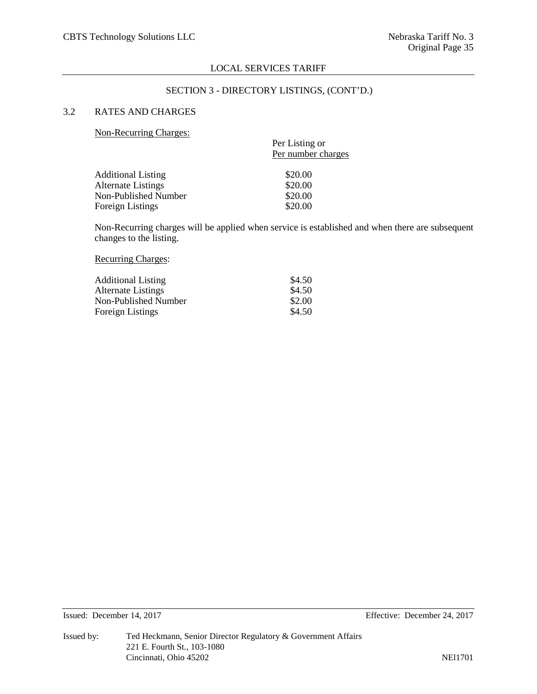#### SECTION 3 - DIRECTORY LISTINGS, (CONT'D.)

# 3.2 RATES AND CHARGES

Non-Recurring Charges:

| Per Listing or     |
|--------------------|
| Per number charges |
| \$20.00            |
| \$20.00            |
| \$20.00            |
| \$20.00            |
|                    |

Non-Recurring charges will be applied when service is established and when there are subsequent changes to the listing.

# Recurring Charges:

| <b>Additional Listing</b> | \$4.50 |
|---------------------------|--------|
| Alternate Listings        | \$4.50 |
| Non-Published Number      | \$2.00 |
| <b>Foreign Listings</b>   | \$4.50 |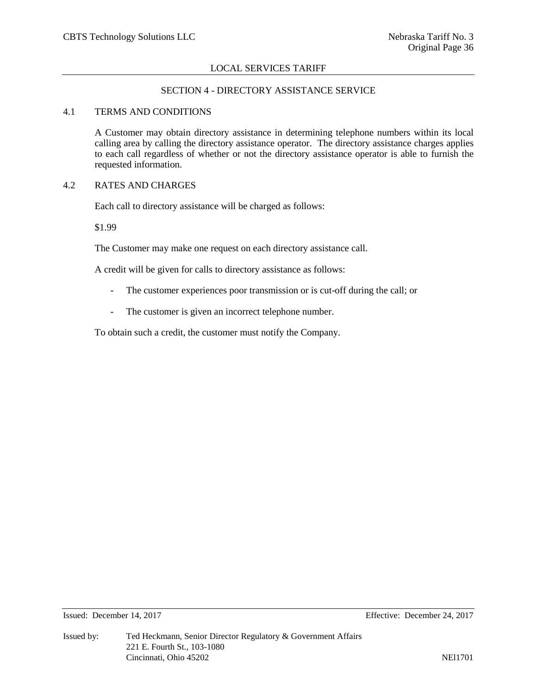# SECTION 4 - DIRECTORY ASSISTANCE SERVICE

# 4.1 TERMS AND CONDITIONS

A Customer may obtain directory assistance in determining telephone numbers within its local calling area by calling the directory assistance operator. The directory assistance charges applies to each call regardless of whether or not the directory assistance operator is able to furnish the requested information.

# 4.2 RATES AND CHARGES

Each call to directory assistance will be charged as follows:

\$1.99

The Customer may make one request on each directory assistance call.

A credit will be given for calls to directory assistance as follows:

- The customer experiences poor transmission or is cut-off during the call; or
- The customer is given an incorrect telephone number.

To obtain such a credit, the customer must notify the Company.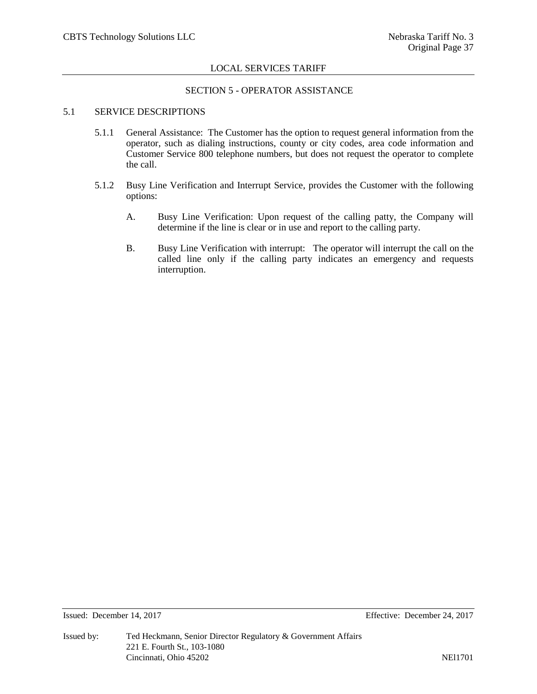#### SECTION 5 - OPERATOR ASSISTANCE

# 5.1 SERVICE DESCRIPTIONS

- 5.1.1 General Assistance: The Customer has the option to request general information from the operator, such as dialing instructions, county or city codes, area code information and Customer Service 800 telephone numbers, but does not request the operator to complete the call.
- 5.1.2 Busy Line Verification and Interrupt Service, provides the Customer with the following options:
	- A. Busy Line Verification: Upon request of the calling patty, the Company will determine if the line is clear or in use and report to the calling party.
	- B. Busy Line Verification with interrupt: The operator will interrupt the call on the called line only if the calling party indicates an emergency and requests interruption.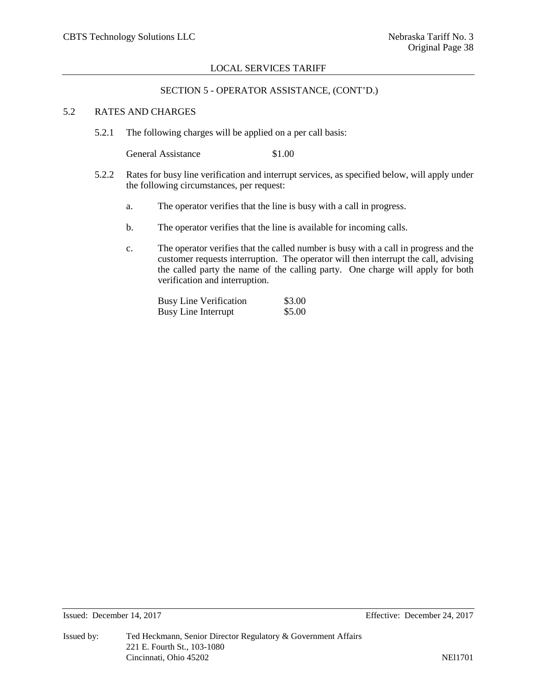#### SECTION 5 - OPERATOR ASSISTANCE, (CONT'D.)

# 5.2 RATES AND CHARGES

5.2.1 The following charges will be applied on a per call basis:

General Assistance \$1.00

- 5.2.2 Rates for busy line verification and interrupt services, as specified below, will apply under the following circumstances, per request:
	- a. The operator verifies that the line is busy with a call in progress.
	- b. The operator verifies that the line is available for incoming calls.
	- c. The operator verifies that the called number is busy with a call in progress and the customer requests interruption. The operator will then interrupt the call, advising the called party the name of the calling party. One charge will apply for both verification and interruption.

Busy Line Verification \$3.00<br>Busy Line Interrupt \$5.00 Busy Line Interrupt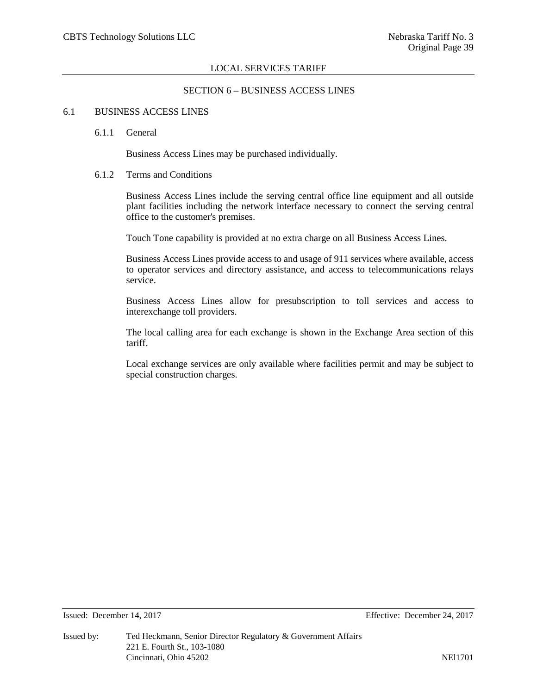# SECTION 6 – BUSINESS ACCESS LINES

#### 6.1 BUSINESS ACCESS LINES

#### 6.1.1 General

Business Access Lines may be purchased individually.

# 6.1.2 Terms and Conditions

Business Access Lines include the serving central office line equipment and all outside plant facilities including the network interface necessary to connect the serving central office to the customer's premises.

Touch Tone capability is provided at no extra charge on all Business Access Lines.

Business Access Lines provide access to and usage of 911 services where available, access to operator services and directory assistance, and access to telecommunications relays service.

Business Access Lines allow for presubscription to toll services and access to interexchange toll providers.

The local calling area for each exchange is shown in the Exchange Area section of this tariff.

Local exchange services are only available where facilities permit and may be subject to special construction charges.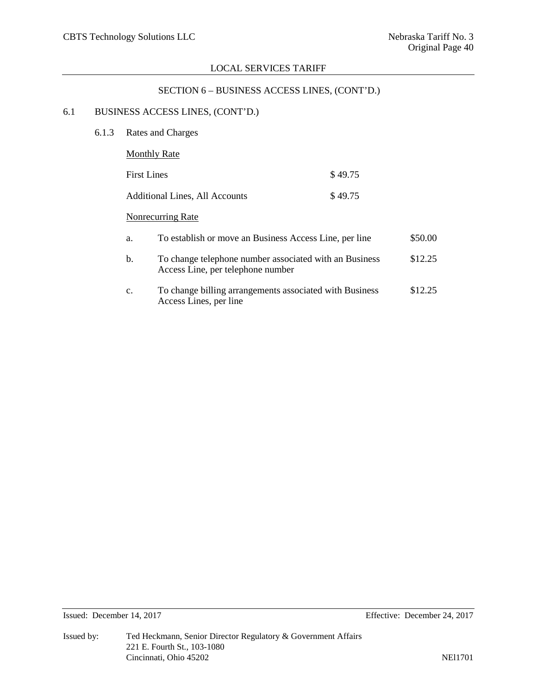# SECTION 6 – BUSINESS ACCESS LINES, (CONT'D.)

# 6.1 BUSINESS ACCESS LINES, (CONT'D.)

6.1.3 Rates and Charges

| <b>Monthly Rate</b>                                          |         |         |
|--------------------------------------------------------------|---------|---------|
| <b>First Lines</b>                                           | \$49.75 |         |
| Additional Lines, All Accounts                               | \$49.75 |         |
| Nonrecurring Rate                                            |         |         |
| To establish or move an Business Access Line, per line<br>a. |         | \$50.00 |

| To change telephone number associated with an Business | \$12.25 |
|--------------------------------------------------------|---------|
| Access Line, per telephone number                      |         |
|                                                        |         |

c. To change billing arrangements associated with Business \$12.25 Access Lines, per line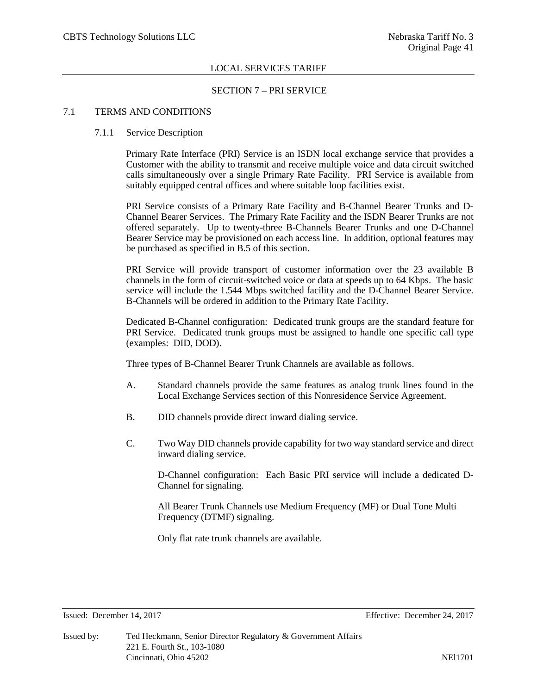#### SECTION 7 – PRI SERVICE

# 7.1 TERMS AND CONDITIONS

#### 7.1.1 Service Description

Primary Rate Interface (PRI) Service is an ISDN local exchange service that provides a Customer with the ability to transmit and receive multiple voice and data circuit switched calls simultaneously over a single Primary Rate Facility. PRI Service is available from suitably equipped central offices and where suitable loop facilities exist.

PRI Service consists of a Primary Rate Facility and B-Channel Bearer Trunks and D-Channel Bearer Services. The Primary Rate Facility and the ISDN Bearer Trunks are not offered separately. Up to twenty-three B-Channels Bearer Trunks and one D-Channel Bearer Service may be provisioned on each access line. In addition, optional features may be purchased as specified in B.5 of this section.

PRI Service will provide transport of customer information over the 23 available B channels in the form of circuit-switched voice or data at speeds up to 64 Kbps. The basic service will include the 1.544 Mbps switched facility and the D-Channel Bearer Service. B-Channels will be ordered in addition to the Primary Rate Facility.

Dedicated B-Channel configuration: Dedicated trunk groups are the standard feature for PRI Service. Dedicated trunk groups must be assigned to handle one specific call type (examples: DID, DOD).

Three types of B-Channel Bearer Trunk Channels are available as follows.

- A. Standard channels provide the same features as analog trunk lines found in the Local Exchange Services section of this Nonresidence Service Agreement.
- B. DID channels provide direct inward dialing service.
- C. Two Way DID channels provide capability for two way standard service and direct inward dialing service.

D-Channel configuration: Each Basic PRI service will include a dedicated D-Channel for signaling.

All Bearer Trunk Channels use Medium Frequency (MF) or Dual Tone Multi Frequency (DTMF) signaling.

Only flat rate trunk channels are available.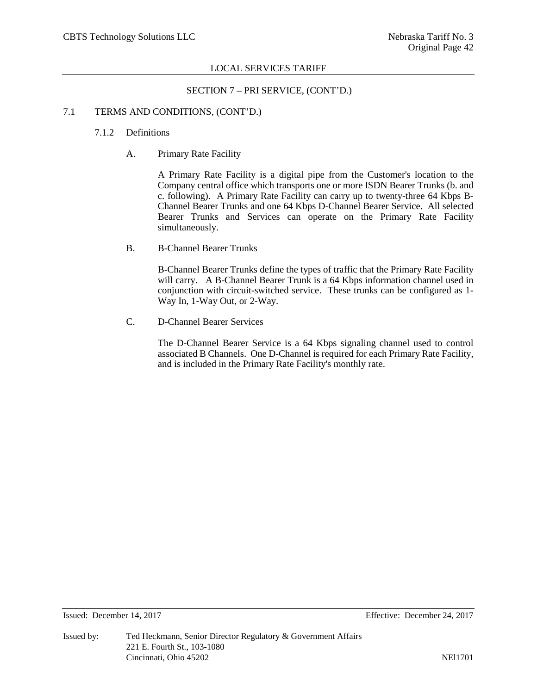#### SECTION 7 – PRI SERVICE, (CONT'D.)

#### 7.1 TERMS AND CONDITIONS, (CONT'D.)

# 7.1.2 Definitions

A. Primary Rate Facility

A Primary Rate Facility is a digital pipe from the Customer's location to the Company central office which transports one or more ISDN Bearer Trunks (b. and c. following). A Primary Rate Facility can carry up to twenty-three 64 Kbps B-Channel Bearer Trunks and one 64 Kbps D-Channel Bearer Service. All selected Bearer Trunks and Services can operate on the Primary Rate Facility simultaneously.

B. B-Channel Bearer Trunks

B-Channel Bearer Trunks define the types of traffic that the Primary Rate Facility will carry. A B-Channel Bearer Trunk is a 64 Kbps information channel used in conjunction with circuit-switched service. These trunks can be configured as 1- Way In, 1-Way Out, or 2-Way.

C. D-Channel Bearer Services

The D-Channel Bearer Service is a 64 Kbps signaling channel used to control associated B Channels. One D-Channel is required for each Primary Rate Facility, and is included in the Primary Rate Facility's monthly rate.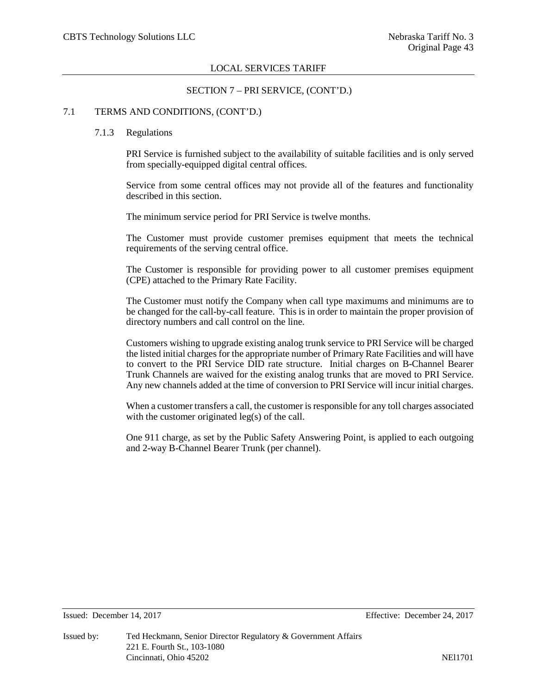#### SECTION 7 – PRI SERVICE, (CONT'D.)

#### 7.1 TERMS AND CONDITIONS, (CONT'D.)

#### 7.1.3 Regulations

PRI Service is furnished subject to the availability of suitable facilities and is only served from specially-equipped digital central offices.

Service from some central offices may not provide all of the features and functionality described in this section.

The minimum service period for PRI Service is twelve months.

The Customer must provide customer premises equipment that meets the technical requirements of the serving central office.

The Customer is responsible for providing power to all customer premises equipment (CPE) attached to the Primary Rate Facility.

The Customer must notify the Company when call type maximums and minimums are to be changed for the call-by-call feature. This is in order to maintain the proper provision of directory numbers and call control on the line.

Customers wishing to upgrade existing analog trunk service to PRI Service will be charged the listed initial charges for the appropriate number of Primary Rate Facilities and will have to convert to the PRI Service DID rate structure. Initial charges on B-Channel Bearer Trunk Channels are waived for the existing analog trunks that are moved to PRI Service. Any new channels added at the time of conversion to PRI Service will incur initial charges.

When a customer transfers a call, the customer is responsible for any toll charges associated with the customer originated leg(s) of the call.

One 911 charge, as set by the Public Safety Answering Point, is applied to each outgoing and 2-way B-Channel Bearer Trunk (per channel).

Issued: December 14, 2017 Effective: December 24, 2017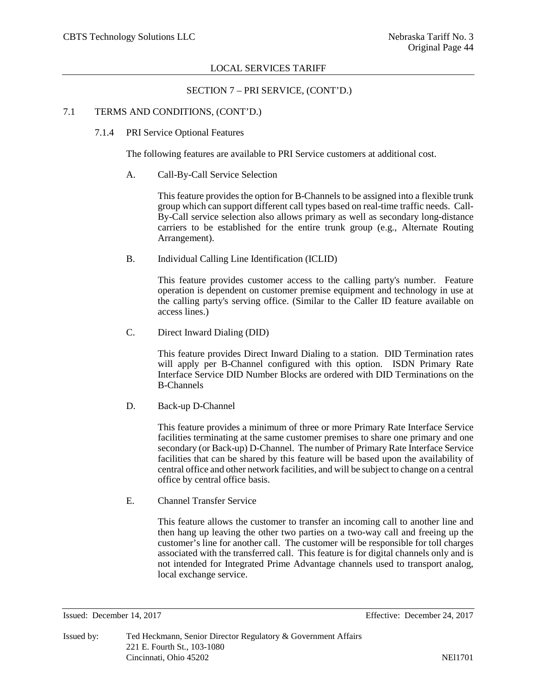# SECTION 7 – PRI SERVICE, (CONT'D.)

#### 7.1 TERMS AND CONDITIONS, (CONT'D.)

7.1.4 PRI Service Optional Features

The following features are available to PRI Service customers at additional cost.

A. Call-By-Call Service Selection

This feature provides the option for B-Channels to be assigned into a flexible trunk group which can support different call types based on real-time traffic needs. Call-By-Call service selection also allows primary as well as secondary long-distance carriers to be established for the entire trunk group (e.g., Alternate Routing Arrangement).

B. Individual Calling Line Identification (ICLID)

This feature provides customer access to the calling party's number. Feature operation is dependent on customer premise equipment and technology in use at the calling party's serving office. (Similar to the Caller ID feature available on access lines.)

C. Direct Inward Dialing (DID)

This feature provides Direct Inward Dialing to a station. DID Termination rates will apply per B-Channel configured with this option. ISDN Primary Rate Interface Service DID Number Blocks are ordered with DID Terminations on the B-Channels

D. Back-up D-Channel

This feature provides a minimum of three or more Primary Rate Interface Service facilities terminating at the same customer premises to share one primary and one secondary (or Back-up) D-Channel. The number of Primary Rate Interface Service facilities that can be shared by this feature will be based upon the availability of central office and other network facilities, and will be subject to change on a central office by central office basis.

E. Channel Transfer Service

This feature allows the customer to transfer an incoming call to another line and then hang up leaving the other two parties on a two-way call and freeing up the customer's line for another call. The customer will be responsible for toll charges associated with the transferred call. This feature is for digital channels only and is not intended for Integrated Prime Advantage channels used to transport analog, local exchange service.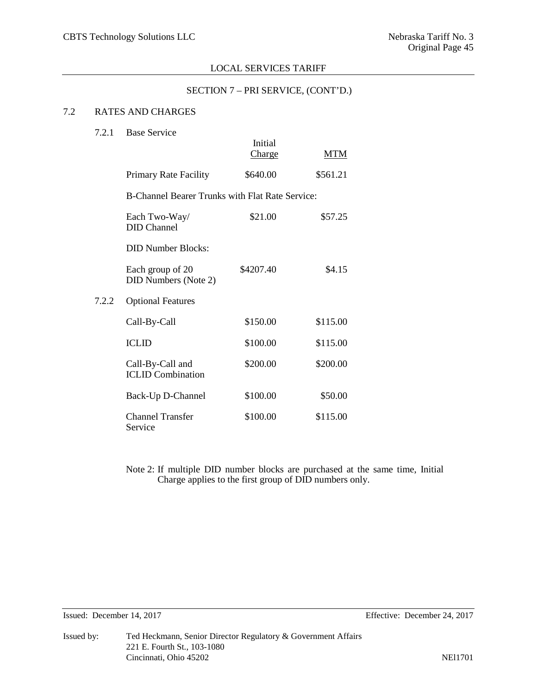# SECTION 7 – PRI SERVICE, (CONT'D.)

# 7.2 RATES AND CHARGES

| 7.2.1 | <b>Base Service</b>                                    | Initial<br>Charge | <b>MTM</b> |  |  |
|-------|--------------------------------------------------------|-------------------|------------|--|--|
|       |                                                        |                   |            |  |  |
|       | Primary Rate Facility                                  | \$640.00          | \$561.21   |  |  |
|       | <b>B-Channel Bearer Trunks with Flat Rate Service:</b> |                   |            |  |  |
|       | Each Two-Way/<br><b>DID</b> Channel                    | \$21.00           | \$57.25    |  |  |
|       | <b>DID Number Blocks:</b>                              |                   |            |  |  |
|       | Each group of 20<br><b>DID Numbers (Note 2)</b>        | \$4207.40         | \$4.15     |  |  |
| 7.2.2 | <b>Optional Features</b>                               |                   |            |  |  |
|       | Call-By-Call                                           | \$150.00          | \$115.00   |  |  |
|       | <b>ICLID</b>                                           | \$100.00          | \$115.00   |  |  |
|       | Call-By-Call and<br><b>ICLID Combination</b>           | \$200.00          | \$200.00   |  |  |
|       | Back-Up D-Channel                                      | \$100.00          | \$50.00    |  |  |
|       | <b>Channel Transfer</b><br>Service                     | \$100.00          | \$115.00   |  |  |

Note 2: If multiple DID number blocks are purchased at the same time, Initial Charge applies to the first group of DID numbers only.

Issued: December 14, 2017 Effective: December 24, 2017